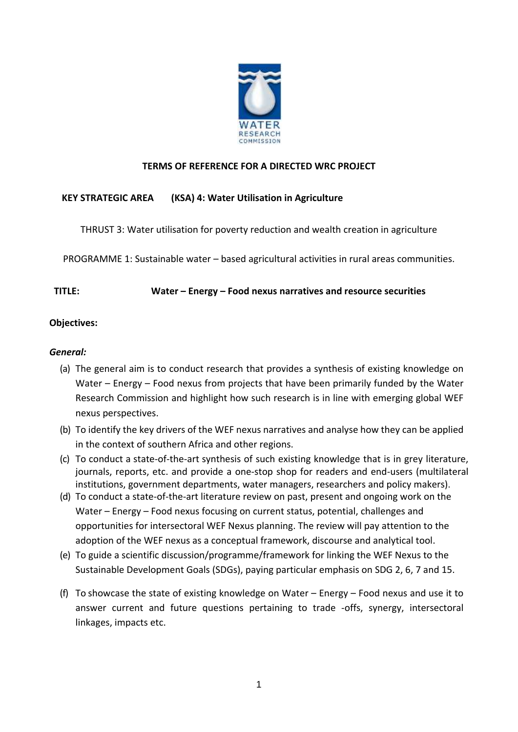

## **TERMS OF REFERENCE FOR A DIRECTED WRC PROJECT**

# **KEY STRATEGIC AREA (KSA) 4: Water Utilisation in Agriculture**

THRUST 3: Water utilisation for poverty reduction and wealth creation in agriculture

PROGRAMME 1: Sustainable water – based agricultural activities in rural areas communities.

### **TITLE: Water – Energy – Food nexus narratives and resource securities**

### **Objectives:**

### *General:*

- (a) The general aim is to conduct research that provides a synthesis of existing knowledge on Water – Energy – Food nexus from projects that have been primarily funded by the Water Research Commission and highlight how such research is in line with emerging global WEF nexus perspectives.
- (b) To identify the key drivers of the WEF nexus narratives and analyse how they can be applied in the context of southern Africa and other regions.
- (c) To conduct a state-of-the-art synthesis of such existing knowledge that is in grey literature, journals, reports, etc. and provide a one-stop shop for readers and end-users (multilateral institutions, government departments, water managers, researchers and policy makers).
- (d) To conduct a state-of-the-art literature review on past, present and ongoing work on the Water – Energy – Food nexus focusing on current status, potential, challenges and opportunities for intersectoral WEF Nexus planning. The review will pay attention to the adoption of the WEF nexus as a conceptual framework, discourse and analytical tool.
- (e) To guide a scientific discussion/programme/framework for linking the WEF Nexus to the Sustainable Development Goals (SDGs), paying particular emphasis on SDG 2, 6, 7 and 15.
- (f) To showcase the state of existing knowledge on Water Energy Food nexus and use it to answer current and future questions pertaining to trade -offs, synergy, intersectoral linkages, impacts etc.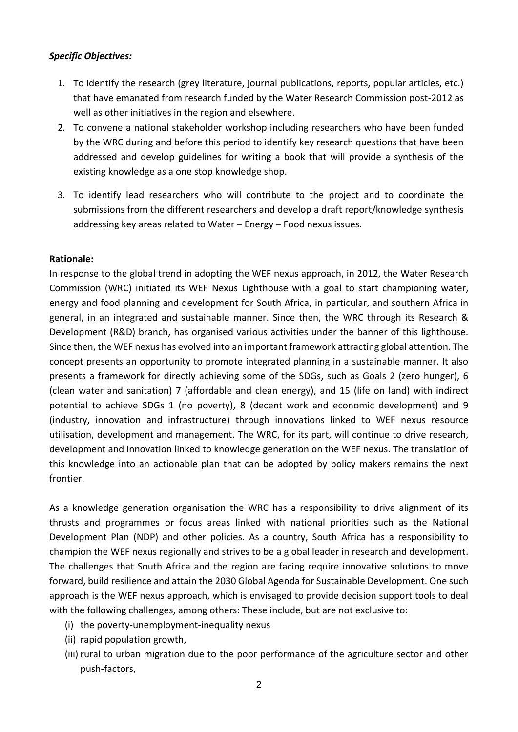## *Specific Objectives:*

- 1. To identify the research (grey literature, journal publications, reports, popular articles, etc.) that have emanated from research funded by the Water Research Commission post-2012 as well as other initiatives in the region and elsewhere.
- 2. To convene a national stakeholder workshop including researchers who have been funded by the WRC during and before this period to identify key research questions that have been addressed and develop guidelines for writing a book that will provide a synthesis of the existing knowledge as a one stop knowledge shop.
- 3. To identify lead researchers who will contribute to the project and to coordinate the submissions from the different researchers and develop a draft report/knowledge synthesis addressing key areas related to Water – Energy – Food nexus issues.

# **Rationale:**

In response to the global trend in adopting the WEF nexus approach, in 2012, the Water Research Commission (WRC) initiated its WEF Nexus Lighthouse with a goal to start championing water, energy and food planning and development for South Africa, in particular, and southern Africa in general, in an integrated and sustainable manner. Since then, the WRC through its Research & Development (R&D) branch, has organised various activities under the banner of this lighthouse. Since then, the WEF nexus has evolved into an important framework attracting global attention. The concept presents an opportunity to promote integrated planning in a sustainable manner. It also presents a framework for directly achieving some of the SDGs, such as Goals 2 (zero hunger), 6 (clean water and sanitation) 7 (affordable and clean energy), and 15 (life on land) with indirect potential to achieve SDGs 1 (no poverty), 8 (decent work and economic development) and 9 (industry, innovation and infrastructure) through innovations linked to WEF nexus resource utilisation, development and management. The WRC, for its part, will continue to drive research, development and innovation linked to knowledge generation on the WEF nexus. The translation of this knowledge into an actionable plan that can be adopted by policy makers remains the next frontier.

As a knowledge generation organisation the WRC has a responsibility to drive alignment of its thrusts and programmes or focus areas linked with national priorities such as the National Development Plan (NDP) and other policies. As a country, South Africa has a responsibility to champion the WEF nexus regionally and strives to be a global leader in research and development. The challenges that South Africa and the region are facing require innovative solutions to move forward, build resilience and attain the 2030 Global Agenda for Sustainable Development. One such approach is the WEF nexus approach, which is envisaged to provide decision support tools to deal with the following challenges, among others: These include, but are not exclusive to:

- (i) the poverty-unemployment-inequality nexus
- (ii) rapid population growth,
- (iii) rural to urban migration due to the poor performance of the agriculture sector and other push-factors,